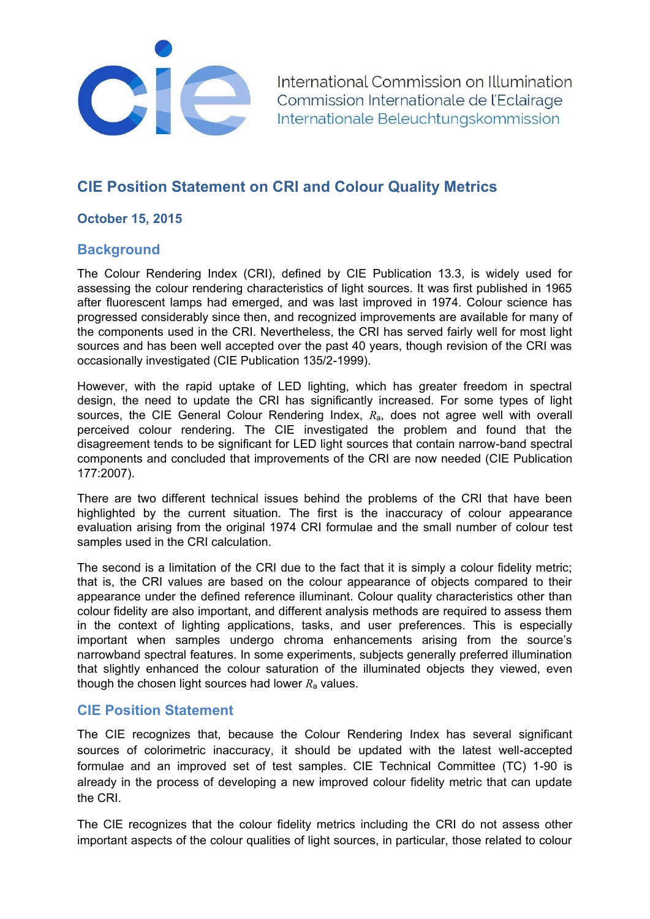

International Commission on Illumination Commission Internationale de l'Eclairage Internationale Beleuchtungskommission

# **CIE Position Statement on CRI and Colour Quality Metrics**

### **October 15, 2015**

# **Background**

The Colour Rendering Index (CRI), defined by CIE Publication 13.3, is widely used for assessing the colour rendering characteristics of light sources. It was first published in 1965 after fluorescent lamps had emerged, and was last improved in 1974. Colour science has progressed considerably since then, and recognized improvements are available for many of the components used in the CRI. Nevertheless, the CRI has served fairly well for most light sources and has been well accepted over the past 40 years, though revision of the CRI was occasionally investigated (CIE Publication 135/2-1999).

However, with the rapid uptake of LED lighting, which has greater freedom in spectral design, the need to update the CRI has significantly increased. For some types of light sources, the CIE General Colour Rendering Index, *R*a, does not agree well with overall perceived colour rendering. The CIE investigated the problem and found that the disagreement tends to be significant for LED light sources that contain narrow-band spectral components and concluded that improvements of the CRI are now needed (CIE Publication 177:2007).

There are two different technical issues behind the problems of the CRI that have been highlighted by the current situation. The first is the inaccuracy of colour appearance evaluation arising from the original 1974 CRI formulae and the small number of colour test samples used in the CRI calculation.

The second is a limitation of the CRI due to the fact that it is simply a colour fidelity metric; that is, the CRI values are based on the colour appearance of objects compared to their appearance under the defined reference illuminant. Colour quality characteristics other than colour fidelity are also important, and different analysis methods are required to assess them in the context of lighting applications, tasks, and user preferences. This is especially important when samples undergo chroma enhancements arising from the source's narrowband spectral features. In some experiments, subjects generally preferred illumination that slightly enhanced the colour saturation of the illuminated objects they viewed, even though the chosen light sources had lower  $R_a$  values.

#### **CIE Position Statement**

The CIE recognizes that, because the Colour Rendering Index has several significant sources of colorimetric inaccuracy, it should be updated with the latest well-accepted formulae and an improved set of test samples. CIE Technical Committee (TC) 1-90 is already in the process of developing a new improved colour fidelity metric that can update the CRI.

The CIE recognizes that the colour fidelity metrics including the CRI do not assess other important aspects of the colour qualities of light sources, in particular, those related to colour